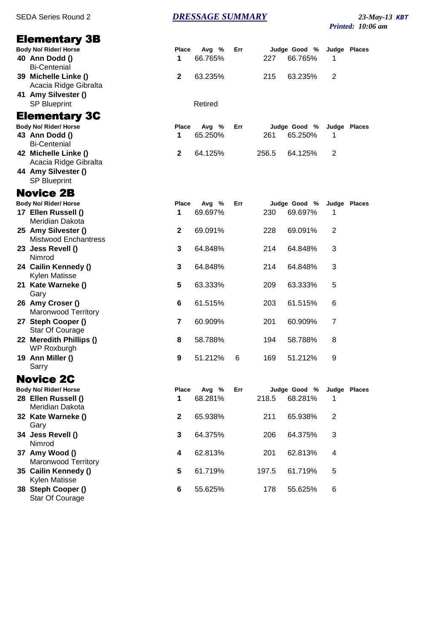## SEDA Series Round 2 *DRESSAGE SUMMARY* 23-May-13 KBT

*Printed: 10:06 am*

| <b>Elementary 3B</b>                             |              |         |     |       |              |                |              |
|--------------------------------------------------|--------------|---------|-----|-------|--------------|----------------|--------------|
| <b>Body No/ Rider/ Horse</b>                     | <b>Place</b> | Avg %   | Err |       | Judge Good % |                | Judge Places |
| 40 Ann Dodd ()<br><b>Bi-Centenial</b>            | 1            | 66.765% |     | 227   | 66.765%      | 1              |              |
| 39 Michelle Linke ()<br>Acacia Ridge Gibralta    | $\mathbf{2}$ | 63.235% |     | 215   | 63.235%      | 2              |              |
| 41 Amy Silvester ()<br><b>SP Blueprint</b>       |              | Retired |     |       |              |                |              |
| <b>Elementary 3C</b>                             |              |         |     |       |              |                |              |
| <b>Body No/ Rider/ Horse</b>                     | Place        | Avg %   | Err |       | Judge Good % |                | Judge Places |
| 43 Ann Dodd ()<br><b>Bi-Centenial</b>            | 1            | 65.250% |     | 261   | 65.250%      | 1              |              |
| 42 Michelle Linke ()<br>Acacia Ridge Gibralta    | $\mathbf{2}$ | 64.125% |     | 256.5 | 64.125%      | 2              |              |
| 44 Amy Silvester ()<br><b>SP Blueprint</b>       |              |         |     |       |              |                |              |
| <b>Novice 2B</b>                                 |              |         |     |       |              |                |              |
| Body No/ Rider/ Horse                            | Place        | Avg %   | Err |       | Judge Good % |                | Judge Places |
| 17 Ellen Russell ()<br>Meridian Dakota           | 1            | 69.697% |     | 230   | 69.697%      | 1              |              |
| 25 Amy Silvester ()                              | $\mathbf{2}$ | 69.091% |     | 228   | 69.091%      | 2              |              |
| <b>Mistwood Enchantress</b><br>23 Jess Revell () | 3            | 64.848% |     | 214   | 64.848%      | 3              |              |
| Nimrod                                           |              |         |     |       |              |                |              |
| 24 Cailin Kennedy ()<br>Kylen Matisse            | 3            | 64.848% |     | 214   | 64.848%      | 3              |              |
| 21 Kate Warneke ()<br>Gary                       | 5            | 63.333% |     | 209   | 63.333%      | 5              |              |
| 26 Amy Croser ()<br><b>Maronwood Territory</b>   | 6            | 61.515% |     | 203   | 61.515%      | 6              |              |
| 27 Steph Cooper ()<br>Star Of Courage            | 7            | 60.909% |     | 201   | 60.909%      | 7              |              |
| 22 Meredith Phillips ()<br>WP Roxburgh           | 8            | 58.788% |     | 194   | 58.788%      | 8              |              |
| 19 Ann Miller ()<br>Sarry                        | 9            | 51.212% | 6   | 169   | 51.212%      | 9              |              |
| <b>Novice 2C</b>                                 |              |         |     |       |              |                |              |
| <b>Body No/ Rider/ Horse</b>                     | Place        | Avg %   | Err |       | Judge Good % |                | Judge Places |
| 28 Ellen Russell ()<br>Meridian Dakota           | 1            | 68.281% |     | 218.5 | 68.281%      | 1              |              |
| 32 Kate Warneke ()<br>Gary                       | 2            | 65.938% |     | 211   | 65.938%      | $\overline{2}$ |              |
| 34 Jess Revell ()<br>Nimrod                      | 3            | 64.375% |     | 206   | 64.375%      | 3              |              |
| 37 Amy Wood ()<br><b>Maronwood Territory</b>     | 4            | 62.813% |     | 201   | 62.813%      | 4              |              |
| 35 Cailin Kennedy ()<br>Kylen Matisse            | 5            | 61.719% |     | 197.5 | 61.719%      | 5              |              |
| 38 Steph Cooper ()<br>Star Of Courage            | 6            | 55.625% |     | 178   | 55.625%      | 6              |              |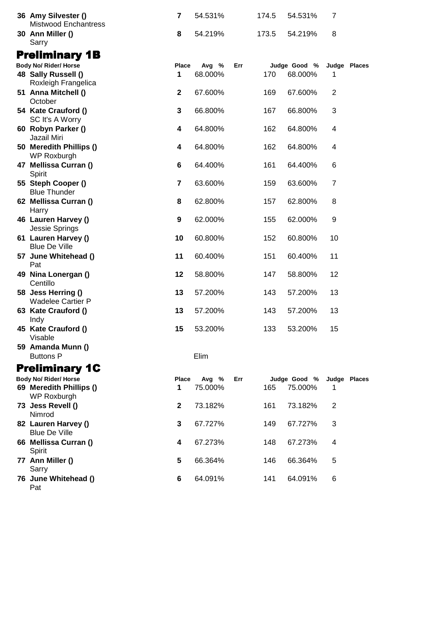| 36 Amy Silvester ()<br><b>Mistwood Enchantress</b> | $\overline{7}$          | 54.531% |     | 174.5 | 54.531%      | 7              |              |
|----------------------------------------------------|-------------------------|---------|-----|-------|--------------|----------------|--------------|
| 30 Ann Miller ()<br>Sarry                          | 8                       | 54.219% |     | 173.5 | 54.219%      | 8              |              |
| <b>Preliminary 1B</b>                              |                         |         |     |       |              |                |              |
| <b>Body No/ Rider/ Horse</b>                       | Place                   | Avg %   | Err |       | Judge Good % |                | Judge Places |
| 48 Sally Russell ()<br>Roxleigh Frangelica         | 1                       | 68.000% |     | 170   | 68.000%      | 1              |              |
| 51 Anna Mitchell ()<br>October                     | $\mathbf{2}$            | 67.600% |     | 169   | 67.600%      | 2              |              |
| 54 Kate Crauford ()<br>SC It's A Worry             | 3                       | 66.800% |     | 167   | 66.800%      | 3              |              |
| 60 Robyn Parker ()<br>Jazail Miri                  | 4                       | 64.800% |     | 162   | 64.800%      | 4              |              |
| 50 Meredith Phillips ()<br>WP Roxburgh             | 4                       | 64.800% |     | 162   | 64.800%      | 4              |              |
| 47 Mellissa Curran ()<br>Spirit                    | 6                       | 64.400% |     | 161   | 64.400%      | 6              |              |
| 55 Steph Cooper ()<br><b>Blue Thunder</b>          | 7                       | 63.600% |     | 159   | 63.600%      | $\overline{7}$ |              |
| 62 Mellissa Curran ()<br>Harry                     | 8                       | 62.800% |     | 157   | 62.800%      | 8              |              |
| 46 Lauren Harvey ()<br>Jessie Springs              | 9                       | 62.000% |     | 155   | 62.000%      | 9              |              |
| 61 Lauren Harvey ()<br><b>Blue De Ville</b>        | 10                      | 60.800% |     | 152   | 60.800%      | 10             |              |
| 57 June Whitehead ()<br>Pat                        | 11                      | 60.400% |     | 151   | 60.400%      | 11             |              |
| 49 Nina Lonergan ()<br>Centillo                    | 12                      | 58.800% |     | 147   | 58.800%      | 12             |              |
| 58 Jess Herring ()<br><b>Wadelee Cartier P</b>     | 13                      | 57.200% |     | 143   | 57.200%      | 13             |              |
| 63 Kate Crauford ()<br>Indy                        | 13                      | 57.200% |     | 143   | 57.200%      | 13             |              |
| 45 Kate Crauford ()<br>Visable                     | 15                      | 53.200% |     | 133   | 53.200%      | 15             |              |
| 59 Amanda Munn ()<br><b>Buttons P</b>              |                         | Elim    |     |       |              |                |              |
| <b>Preliminary 1C</b>                              |                         |         |     |       |              |                |              |
| <b>Body No/ Rider/ Horse</b>                       | Place                   | Avg %   | Err |       | Judge Good % |                | Judge Places |
| 69 Meredith Phillips ()<br>WP Roxburgh             | 1                       | 75.000% |     | 165   | 75.000%      | 1              |              |
| 73 Jess Revell ()<br>Nimrod                        | $\mathbf{2}$            | 73.182% |     | 161   | 73.182%      | 2              |              |
| 82 Lauren Harvey ()<br><b>Blue De Ville</b>        | 3                       | 67.727% |     | 149   | 67.727%      | 3              |              |
| 66 Mellissa Curran ()<br>Spirit                    | $\overline{\mathbf{4}}$ | 67.273% |     | 148   | 67.273%      | 4              |              |
| 77 Ann Miller ()<br>Sarry                          | 5                       | 66.364% |     | 146   | 66.364%      | 5              |              |
| 76 June Whitehead ()<br>Pat                        | 6                       | 64.091% |     | 141   | 64.091%      | 6              |              |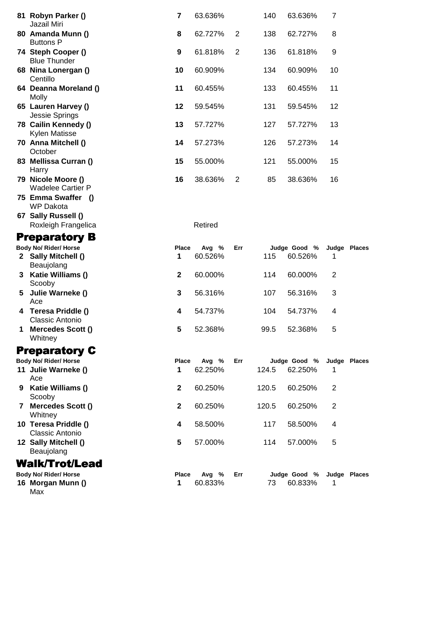|                                                      | 81 Robyn Parker ()<br>Jazail Miri                          | 7                | 63.636%          |     | 140   | 63.636%                 | $\overline{7}$ |              |
|------------------------------------------------------|------------------------------------------------------------|------------------|------------------|-----|-------|-------------------------|----------------|--------------|
|                                                      | 80 Amanda Munn ()<br><b>Buttons P</b>                      | 8                | 62.727%          | 2   | 138   | 62.727%                 | 8              |              |
|                                                      | 74 Steph Cooper ()<br><b>Blue Thunder</b>                  | $\boldsymbol{9}$ | 61.818%          | 2   | 136   | 61.818%                 | 9              |              |
|                                                      | 68 Nina Lonergan ()<br>Centillo                            | 10               | 60.909%          |     | 134   | 60.909%                 | 10             |              |
|                                                      | 64 Deanna Moreland ()<br>Molly                             | 11               | 60.455%          |     | 133   | 60.455%                 | 11             |              |
|                                                      | 65 Lauren Harvey ()<br>Jessie Springs                      | 12               | 59.545%          |     | 131   | 59.545%                 | 12             |              |
|                                                      | 78 Cailin Kennedy ()<br>Kylen Matisse                      | 13               | 57.727%          |     | 127   | 57.727%                 | 13             |              |
|                                                      | 70 Anna Mitchell ()<br>October                             | 14               | 57.273%          |     | 126   | 57.273%                 | 14             |              |
|                                                      | 83 Mellissa Curran ()<br>Harry                             | 15               | 55.000%          |     | 121   | 55.000%                 | 15             |              |
|                                                      | 79 Nicole Moore ()<br><b>Wadelee Cartier P</b>             | 16               | 38.636%          | 2   | 85    | 38.636%                 | 16             |              |
|                                                      | 75 Emma Swaffer<br>- 0<br><b>WP Dakota</b>                 |                  |                  |     |       |                         |                |              |
|                                                      | 67 Sally Russell ()<br>Roxleigh Frangelica                 |                  | Retired          |     |       |                         |                |              |
|                                                      |                                                            |                  |                  |     |       |                         |                |              |
| <b>Preparatory B</b><br><b>Body No/ Rider/ Horse</b> |                                                            | Place            | Avg %            | Err |       | Judge Good %            |                | Judge Places |
|                                                      | 2 Sally Mitchell ()<br>Beaujolang                          | 1                | 60.526%          |     | 115   | 60.526%                 | 1              |              |
|                                                      | 3 Katie Williams ()<br>Scooby                              | $\mathbf{2}$     | 60.000%          |     | 114   | 60.000%                 | $\overline{2}$ |              |
| 5                                                    |                                                            | $\mathbf 3$      | 56.316%          |     |       | 56.316%                 | 3              |              |
|                                                      | Julie Warneke ()                                           |                  |                  |     | 107   |                         |                |              |
|                                                      | Ace<br>4 Teresa Priddle ()                                 | 4                | 54.737%          |     | 104   | 54.737%                 | 4              |              |
| 1                                                    | Classic Antonio<br><b>Mercedes Scott ()</b>                | 5                | 52.368%          |     | 99.5  | 52.368%                 | 5              |              |
|                                                      | Whitney                                                    |                  |                  |     |       |                         |                |              |
|                                                      | <b>Preparatory C</b>                                       |                  |                  |     |       |                         |                |              |
|                                                      | <b>Body No/ Rider/ Horse</b><br>11 Julie Warneke ()<br>Ace | Place<br>1       | Avg %<br>62.250% | Err | 124.5 | Judge Good %<br>62.250% | 1              | Judge Places |
|                                                      | 9 Katie Williams ()                                        | $\mathbf{2}$     | 60.250%          |     | 120.5 | 60.250%                 | 2              |              |
| 7                                                    | Scooby<br>Mercedes Scott ()<br>Whitney                     | $\mathbf 2$      | 60.250%          |     | 120.5 | 60.250%                 | 2              |              |
|                                                      | 10 Teresa Priddle ()<br>Classic Antonio                    | 4                | 58.500%          |     | 117   | 58.500%                 | 4              |              |
|                                                      | 12 Sally Mitchell ()<br>Beaujolang                         | 5                | 57.000%          |     | 114   | 57.000%                 | 5              |              |
|                                                      | <b>Walk/Trot/Lead</b>                                      |                  |                  |     |       |                         |                |              |
|                                                      | <b>Body No/ Rider/ Horse</b>                               | Place            | Avg %            | Err |       | Judge Good %            |                | Judge Places |